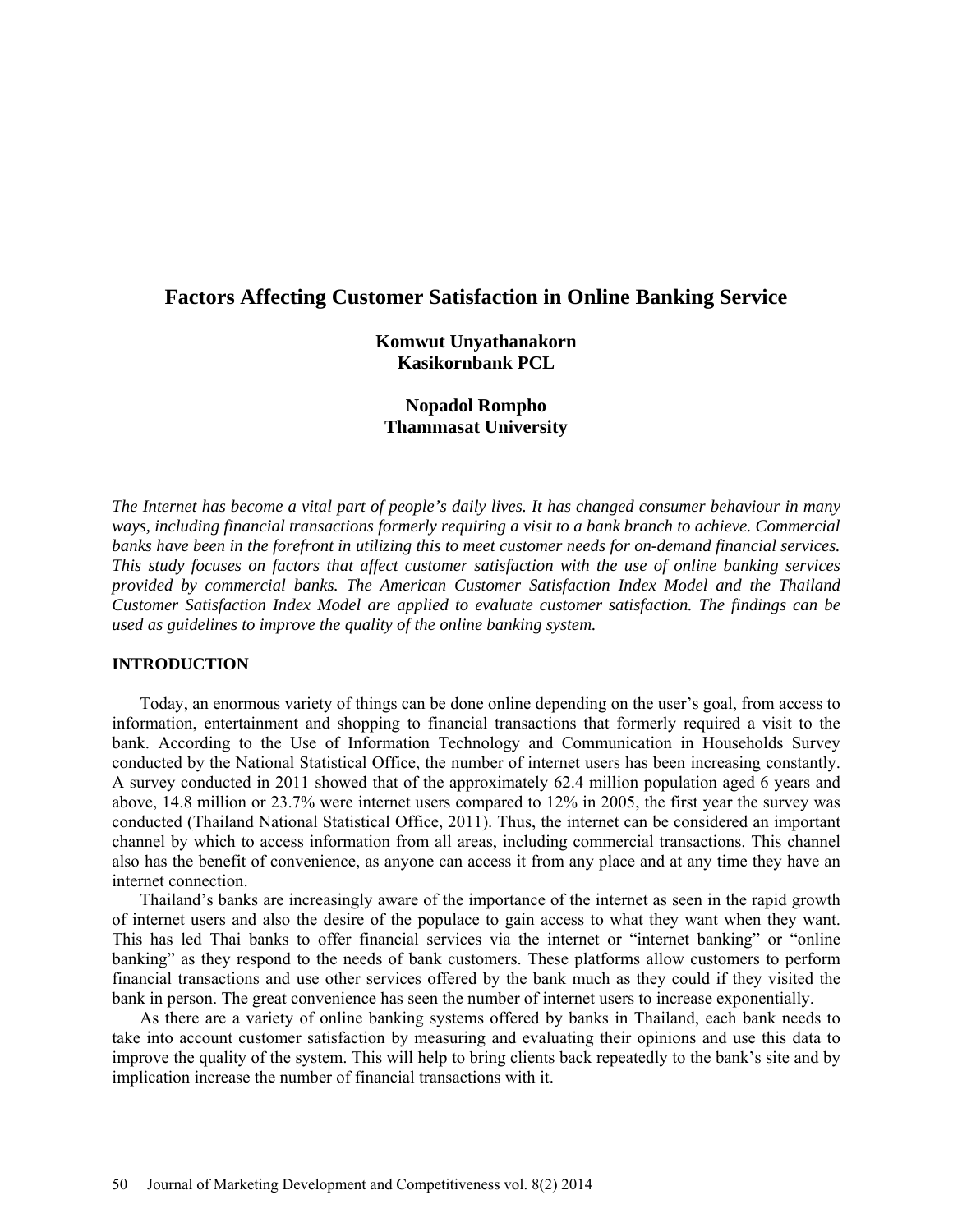# **Factors Affecting Customer Satisfaction in Online Banking Service**

### **Komwut Unyathanakorn Kasikornbank PCL**

## **Nopadol Rompho Thammasat University**

*The Internet has become a vital part of people's daily lives. It has changed consumer behaviour in many ways, including financial transactions formerly requiring a visit to a bank branch to achieve. Commercial banks have been in the forefront in utilizing this to meet customer needs for on-demand financial services. This study focuses on factors that affect customer satisfaction with the use of online banking services provided by commercial banks. The American Customer Satisfaction Index Model and the Thailand Customer Satisfaction Index Model are applied to evaluate customer satisfaction. The findings can be used as guidelines to improve the quality of the online banking system.*

### **INTRODUCTION**

Today, an enormous variety of things can be done online depending on the user's goal, from access to information, entertainment and shopping to financial transactions that formerly required a visit to the bank. According to the Use of Information Technology and Communication in Households Survey conducted by the National Statistical Office, the number of internet users has been increasing constantly. A survey conducted in 2011 showed that of the approximately 62.4 million population aged 6 years and above, 14.8 million or 23.7% were internet users compared to 12% in 2005, the first year the survey was conducted (Thailand National Statistical Office, 2011). Thus, the internet can be considered an important channel by which to access information from all areas, including commercial transactions. This channel also has the benefit of convenience, as anyone can access it from any place and at any time they have an internet connection.

Thailand's banks are increasingly aware of the importance of the internet as seen in the rapid growth of internet users and also the desire of the populace to gain access to what they want when they want. This has led Thai banks to offer financial services via the internet or "internet banking" or "online banking" as they respond to the needs of bank customers. These platforms allow customers to perform financial transactions and use other services offered by the bank much as they could if they visited the bank in person. The great convenience has seen the number of internet users to increase exponentially.

As there are a variety of online banking systems offered by banks in Thailand, each bank needs to take into account customer satisfaction by measuring and evaluating their opinions and use this data to improve the quality of the system. This will help to bring clients back repeatedly to the bank's site and by implication increase the number of financial transactions with it.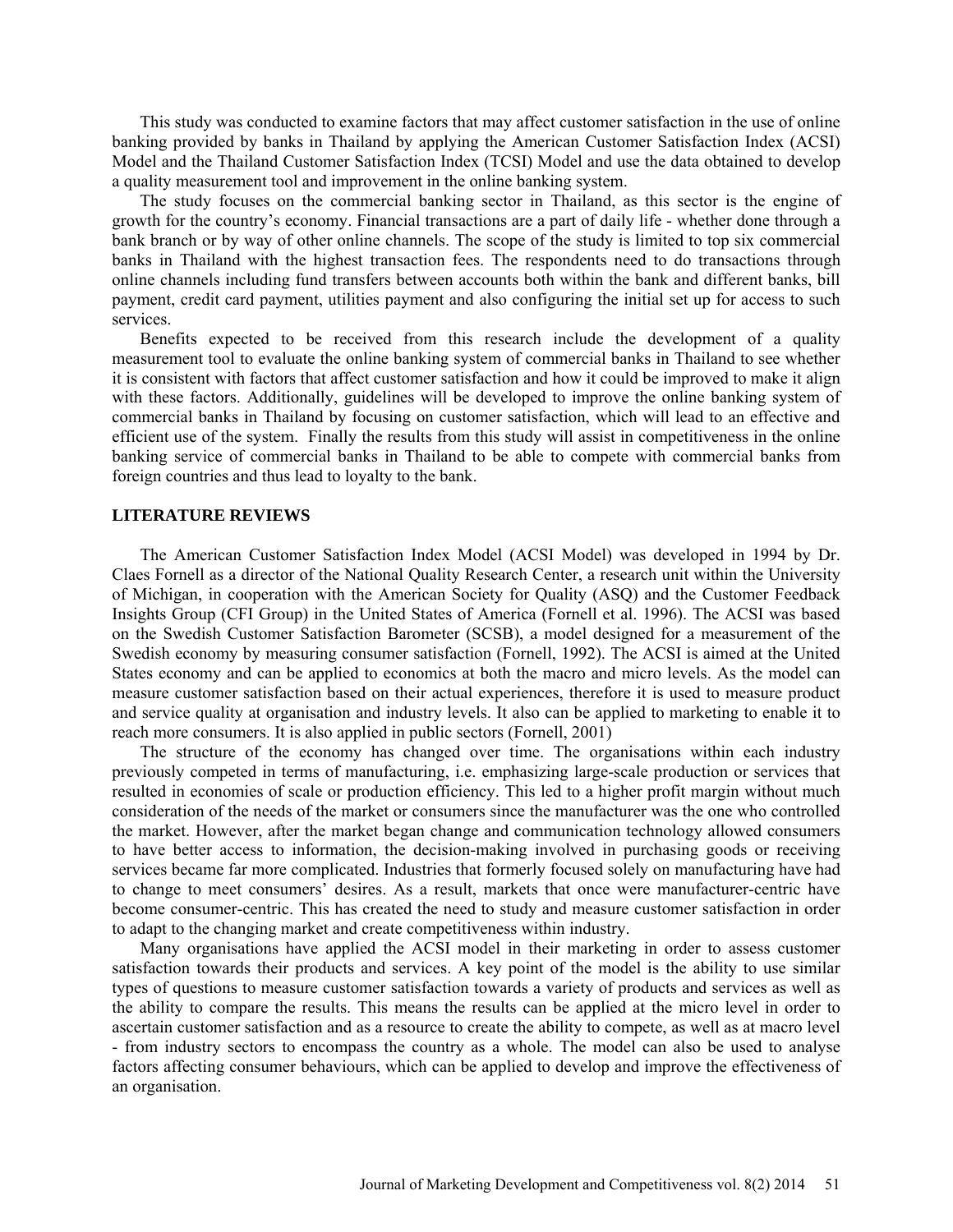This study was conducted to examine factors that may affect customer satisfaction in the use of online banking provided by banks in Thailand by applying the American Customer Satisfaction Index (ACSI) Model and the Thailand Customer Satisfaction Index (TCSI) Model and use the data obtained to develop a quality measurement tool and improvement in the online banking system.

The study focuses on the commercial banking sector in Thailand, as this sector is the engine of growth for the country's economy. Financial transactions are a part of daily life - whether done through a bank branch or by way of other online channels. The scope of the study is limited to top six commercial banks in Thailand with the highest transaction fees. The respondents need to do transactions through online channels including fund transfers between accounts both within the bank and different banks, bill payment, credit card payment, utilities payment and also configuring the initial set up for access to such services.

Benefits expected to be received from this research include the development of a quality measurement tool to evaluate the online banking system of commercial banks in Thailand to see whether it is consistent with factors that affect customer satisfaction and how it could be improved to make it align with these factors. Additionally, guidelines will be developed to improve the online banking system of commercial banks in Thailand by focusing on customer satisfaction, which will lead to an effective and efficient use of the system. Finally the results from this study will assist in competitiveness in the online banking service of commercial banks in Thailand to be able to compete with commercial banks from foreign countries and thus lead to loyalty to the bank.

### **LITERATURE REVIEWS**

The American Customer Satisfaction Index Model (ACSI Model) was developed in 1994 by Dr. Claes Fornell as a director of the National Quality Research Center, a research unit within the University of Michigan, in cooperation with the American Society for Quality (ASQ) and the Customer Feedback Insights Group (CFI Group) in the United States of America (Fornell et al. 1996). The ACSI was based on the Swedish Customer Satisfaction Barometer (SCSB), a model designed for a measurement of the Swedish economy by measuring consumer satisfaction (Fornell, 1992). The ACSI is aimed at the United States economy and can be applied to economics at both the macro and micro levels. As the model can measure customer satisfaction based on their actual experiences, therefore it is used to measure product and service quality at organisation and industry levels. It also can be applied to marketing to enable it to reach more consumers. It is also applied in public sectors (Fornell, 2001)

The structure of the economy has changed over time. The organisations within each industry previously competed in terms of manufacturing, i.e. emphasizing large-scale production or services that resulted in economies of scale or production efficiency. This led to a higher profit margin without much consideration of the needs of the market or consumers since the manufacturer was the one who controlled the market. However, after the market began change and communication technology allowed consumers to have better access to information, the decision-making involved in purchasing goods or receiving services became far more complicated. Industries that formerly focused solely on manufacturing have had to change to meet consumers' desires. As a result, markets that once were manufacturer-centric have become consumer-centric. This has created the need to study and measure customer satisfaction in order to adapt to the changing market and create competitiveness within industry.

Many organisations have applied the ACSI model in their marketing in order to assess customer satisfaction towards their products and services. A key point of the model is the ability to use similar types of questions to measure customer satisfaction towards a variety of products and services as well as the ability to compare the results. This means the results can be applied at the micro level in order to ascertain customer satisfaction and as a resource to create the ability to compete, as well as at macro level - from industry sectors to encompass the country as a whole. The model can also be used to analyse factors affecting consumer behaviours, which can be applied to develop and improve the effectiveness of an organisation.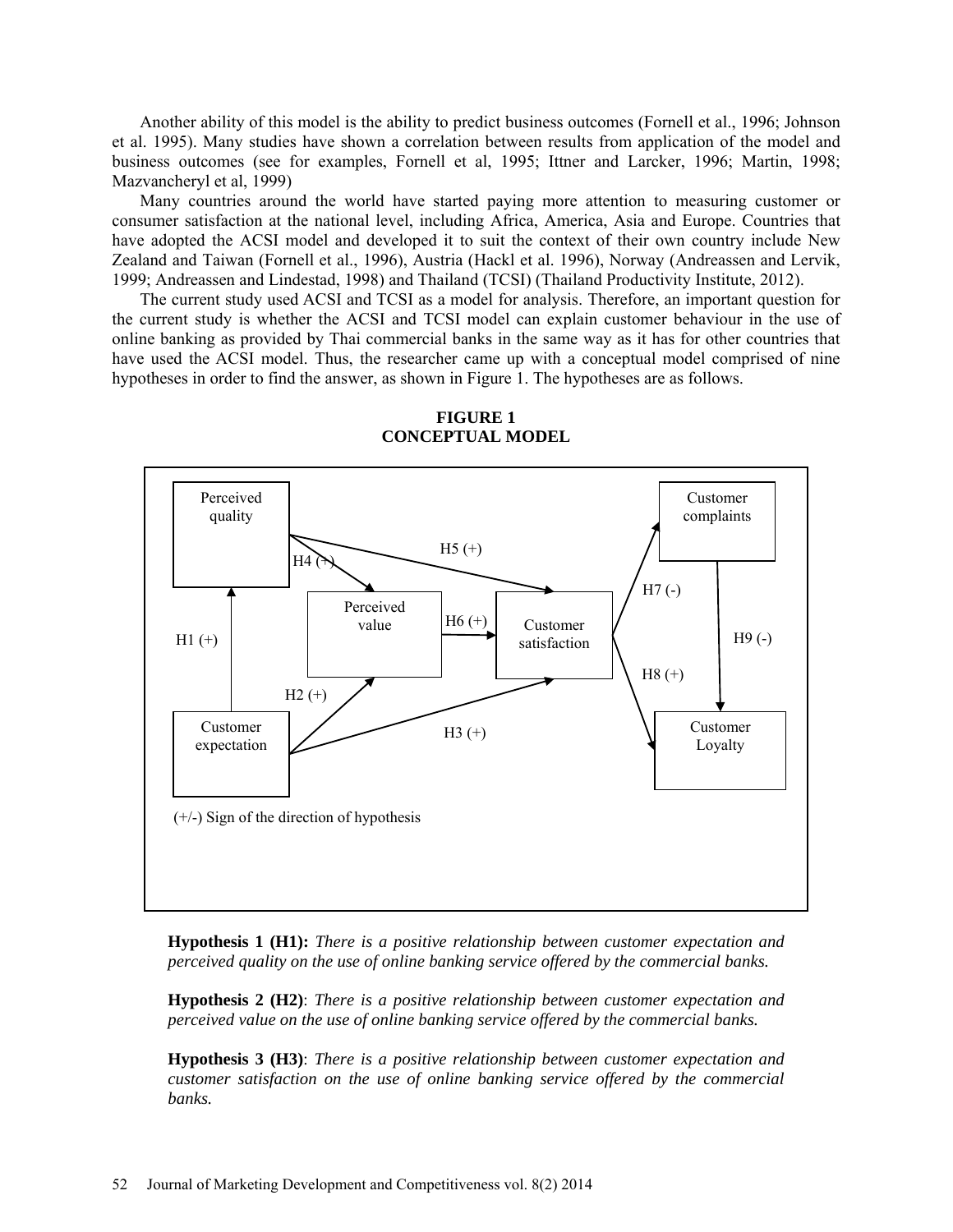Another ability of this model is the ability to predict business outcomes (Fornell et al., 1996; Johnson et al. 1995). Many studies have shown a correlation between results from application of the model and business outcomes (see for examples, Fornell et al, 1995; Ittner and Larcker, 1996; Martin, 1998; Mazvancheryl et al, 1999)

Many countries around the world have started paying more attention to measuring customer or consumer satisfaction at the national level, including Africa, America, Asia and Europe. Countries that have adopted the ACSI model and developed it to suit the context of their own country include New Zealand and Taiwan (Fornell et al., 1996), Austria (Hackl et al. 1996), Norway (Andreassen and Lervik, 1999; Andreassen and Lindestad, 1998) and Thailand (TCSI) (Thailand Productivity Institute, 2012).

The current study used ACSI and TCSI as a model for analysis. Therefore, an important question for the current study is whether the ACSI and TCSI model can explain customer behaviour in the use of online banking as provided by Thai commercial banks in the same way as it has for other countries that have used the ACSI model. Thus, the researcher came up with a conceptual model comprised of nine hypotheses in order to find the answer, as shown in Figure 1. The hypotheses are as follows.



**FIGURE 1 CONCEPTUAL MODEL**

**Hypothesis 1 (H1):** *There is a positive relationship between customer expectation and perceived quality on the use of online banking service offered by the commercial banks.*

**Hypothesis 2 (H2)**: *There is a positive relationship between customer expectation and perceived value on the use of online banking service offered by the commercial banks.*

**Hypothesis 3 (H3)**: *There is a positive relationship between customer expectation and customer satisfaction on the use of online banking service offered by the commercial banks.*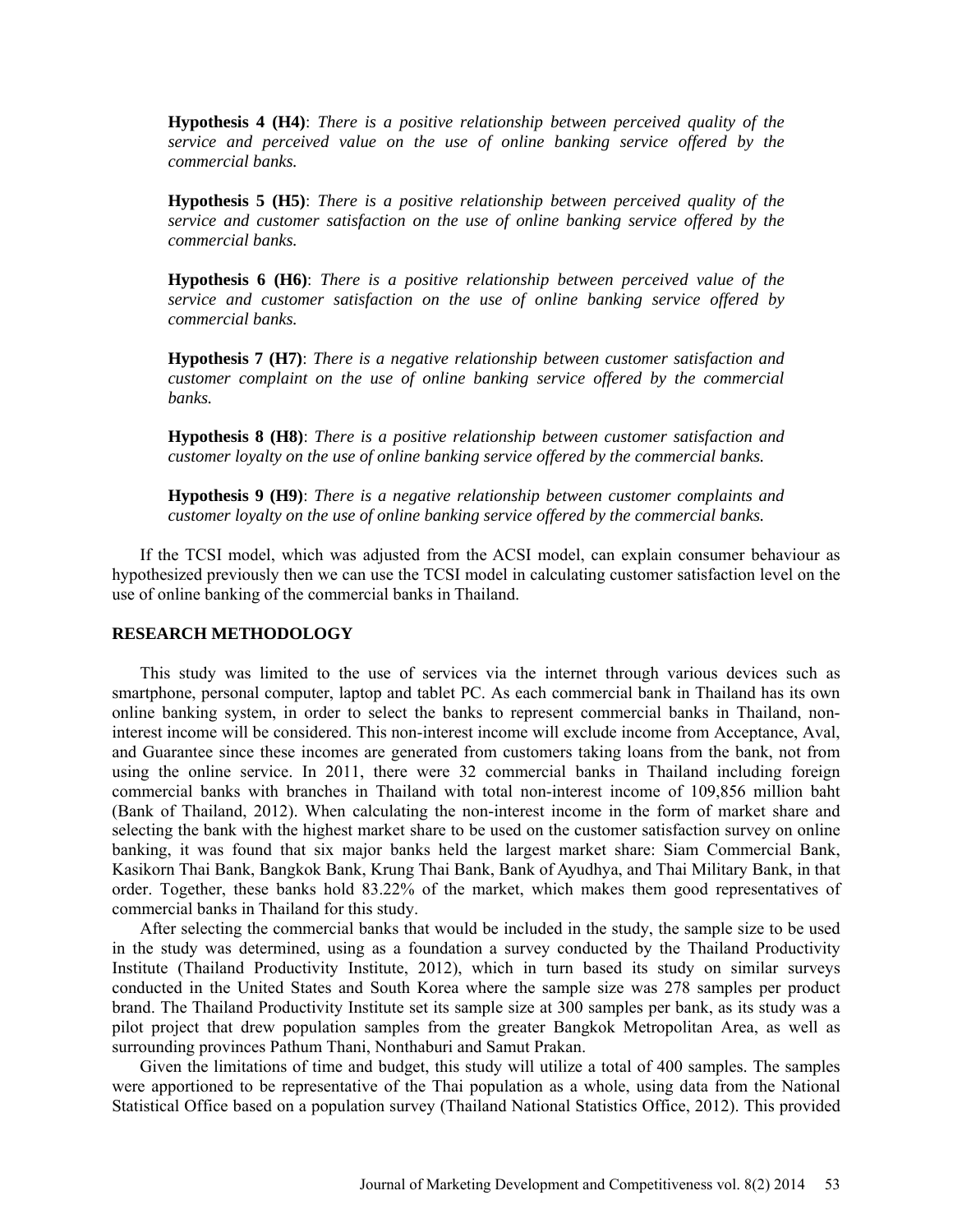**Hypothesis 4 (H4)**: *There is a positive relationship between perceived quality of the service and perceived value on the use of online banking service offered by the commercial banks.*

**Hypothesis 5 (H5)**: *There is a positive relationship between perceived quality of the service and customer satisfaction on the use of online banking service offered by the commercial banks.*

**Hypothesis 6 (H6)**: *There is a positive relationship between perceived value of the service and customer satisfaction on the use of online banking service offered by commercial banks.*

**Hypothesis 7 (H7)**: *There is a negative relationship between customer satisfaction and customer complaint on the use of online banking service offered by the commercial banks.*

**Hypothesis 8 (H8)**: *There is a positive relationship between customer satisfaction and customer loyalty on the use of online banking service offered by the commercial banks.*

**Hypothesis 9 (H9)**: *There is a negative relationship between customer complaints and customer loyalty on the use of online banking service offered by the commercial banks.*

If the TCSI model, which was adjusted from the ACSI model, can explain consumer behaviour as hypothesized previously then we can use the TCSI model in calculating customer satisfaction level on the use of online banking of the commercial banks in Thailand.

### **RESEARCH METHODOLOGY**

This study was limited to the use of services via the internet through various devices such as smartphone, personal computer, laptop and tablet PC. As each commercial bank in Thailand has its own online banking system, in order to select the banks to represent commercial banks in Thailand, noninterest income will be considered. This non-interest income will exclude income from Acceptance, Aval, and Guarantee since these incomes are generated from customers taking loans from the bank, not from using the online service. In 2011, there were 32 commercial banks in Thailand including foreign commercial banks with branches in Thailand with total non-interest income of 109,856 million baht (Bank of Thailand, 2012). When calculating the non-interest income in the form of market share and selecting the bank with the highest market share to be used on the customer satisfaction survey on online banking, it was found that six major banks held the largest market share: Siam Commercial Bank, Kasikorn Thai Bank, Bangkok Bank, Krung Thai Bank, Bank of Ayudhya, and Thai Military Bank, in that order. Together, these banks hold 83.22% of the market, which makes them good representatives of commercial banks in Thailand for this study.

After selecting the commercial banks that would be included in the study, the sample size to be used in the study was determined, using as a foundation a survey conducted by the Thailand Productivity Institute (Thailand Productivity Institute, 2012), which in turn based its study on similar surveys conducted in the United States and South Korea where the sample size was 278 samples per product brand. The Thailand Productivity Institute set its sample size at 300 samples per bank, as its study was a pilot project that drew population samples from the greater Bangkok Metropolitan Area, as well as surrounding provinces Pathum Thani, Nonthaburi and Samut Prakan.

Given the limitations of time and budget, this study will utilize a total of 400 samples. The samples were apportioned to be representative of the Thai population as a whole, using data from the National Statistical Office based on a population survey (Thailand National Statistics Office, 2012). This provided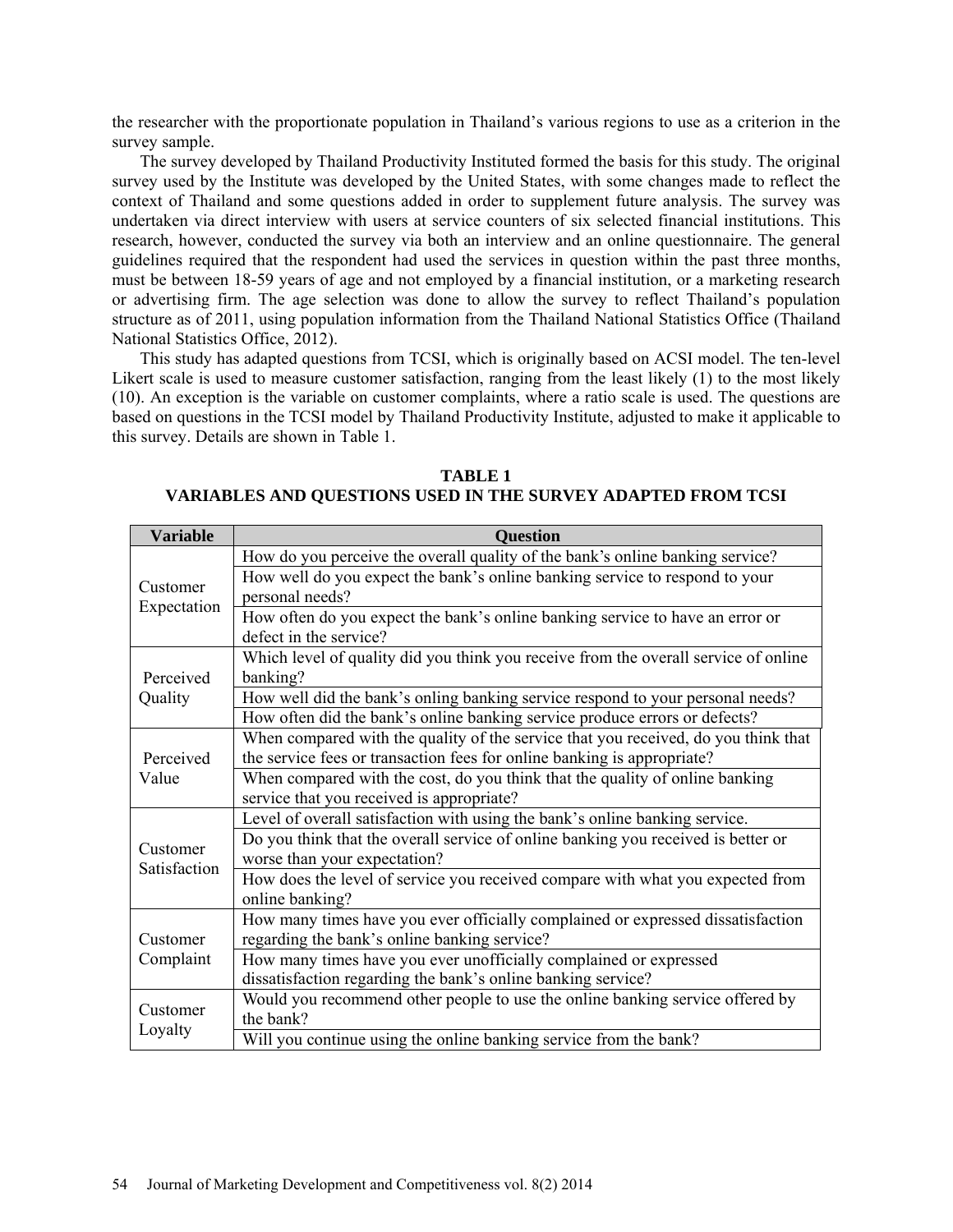the researcher with the proportionate population in Thailand's various regions to use as a criterion in the survey sample.

The survey developed by Thailand Productivity Instituted formed the basis for this study. The original survey used by the Institute was developed by the United States, with some changes made to reflect the context of Thailand and some questions added in order to supplement future analysis. The survey was undertaken via direct interview with users at service counters of six selected financial institutions. This research, however, conducted the survey via both an interview and an online questionnaire. The general guidelines required that the respondent had used the services in question within the past three months, must be between 18-59 years of age and not employed by a financial institution, or a marketing research or advertising firm. The age selection was done to allow the survey to reflect Thailand's population structure as of 2011, using population information from the Thailand National Statistics Office (Thailand National Statistics Office, 2012).

This study has adapted questions from TCSI, which is originally based on ACSI model. The ten-level Likert scale is used to measure customer satisfaction, ranging from the least likely (1) to the most likely (10). An exception is the variable on customer complaints, where a ratio scale is used. The questions are based on questions in the TCSI model by Thailand Productivity Institute, adjusted to make it applicable to this survey. Details are shown in Table 1.

| <b>Variable</b>          | <b>Question</b>                                                                                                                 |
|--------------------------|---------------------------------------------------------------------------------------------------------------------------------|
| Customer<br>Expectation  | How do you perceive the overall quality of the bank's online banking service?                                                   |
|                          | How well do you expect the bank's online banking service to respond to your<br>personal needs?                                  |
|                          | How often do you expect the bank's online banking service to have an error or<br>defect in the service?                         |
| Perceived<br>Quality     | Which level of quality did you think you receive from the overall service of online<br>banking?                                 |
|                          | How well did the bank's onling banking service respond to your personal needs?                                                  |
|                          | How often did the bank's online banking service produce errors or defects?                                                      |
| Perceived<br>Value       | When compared with the quality of the service that you received, do you think that                                              |
|                          | the service fees or transaction fees for online banking is appropriate?                                                         |
|                          | When compared with the cost, do you think that the quality of online banking                                                    |
|                          | service that you received is appropriate?                                                                                       |
| Customer<br>Satisfaction | Level of overall satisfaction with using the bank's online banking service.                                                     |
|                          | Do you think that the overall service of online banking you received is better or<br>worse than your expectation?               |
|                          | How does the level of service you received compare with what you expected from                                                  |
|                          | online banking?                                                                                                                 |
| Customer<br>Complaint    | How many times have you ever officially complained or expressed dissatisfaction<br>regarding the bank's online banking service? |
|                          | How many times have you ever unofficially complained or expressed                                                               |
|                          | dissatisfaction regarding the bank's online banking service?                                                                    |
| Customer<br>Loyalty      | Would you recommend other people to use the online banking service offered by                                                   |
|                          | the bank?                                                                                                                       |
|                          | Will you continue using the online banking service from the bank?                                                               |

**TABLE 1 VARIABLES AND QUESTIONS USED IN THE SURVEY ADAPTED FROM TCSI**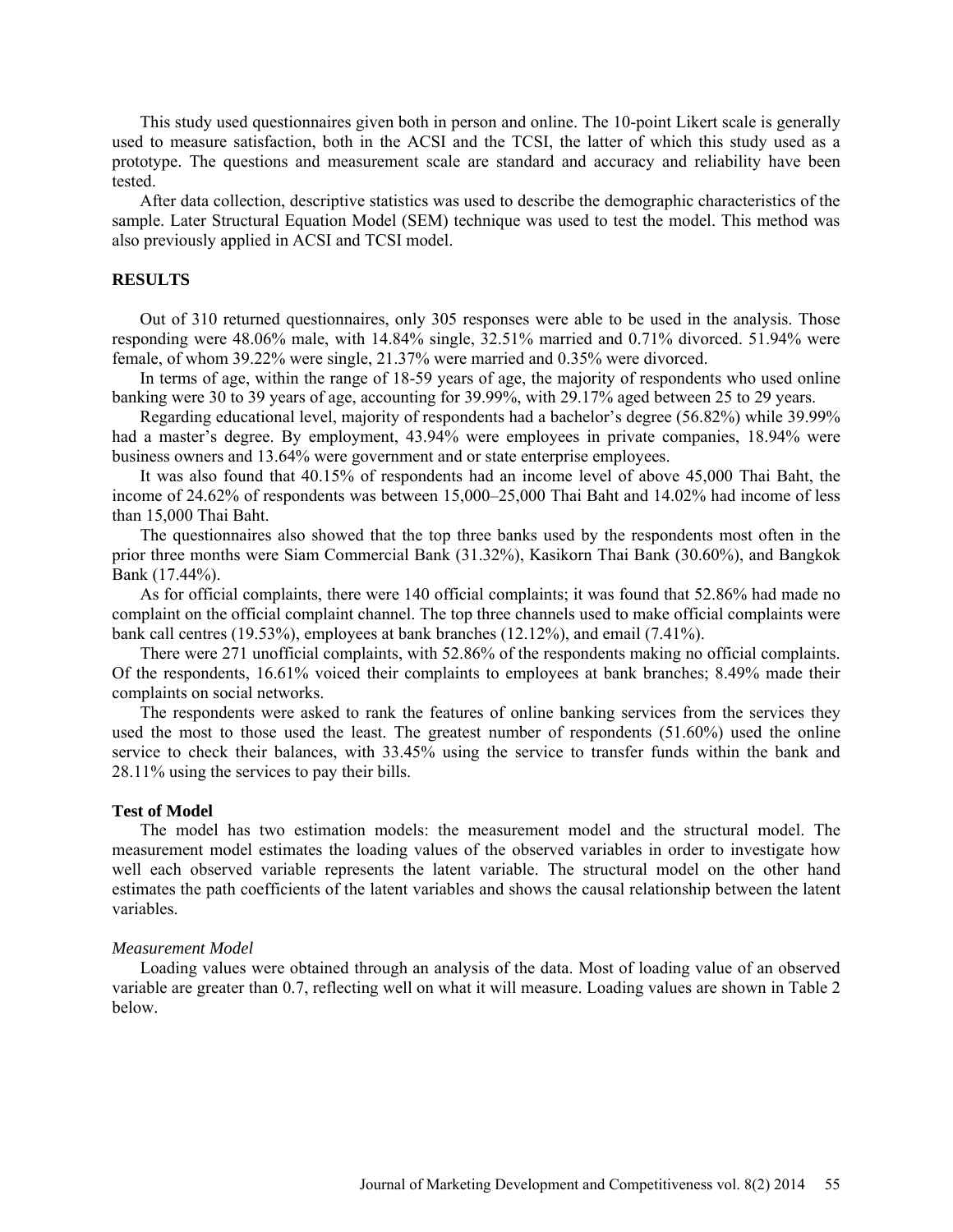This study used questionnaires given both in person and online. The 10-point Likert scale is generally used to measure satisfaction, both in the ACSI and the TCSI, the latter of which this study used as a prototype. The questions and measurement scale are standard and accuracy and reliability have been tested.

After data collection, descriptive statistics was used to describe the demographic characteristics of the sample. Later Structural Equation Model (SEM) technique was used to test the model. This method was also previously applied in ACSI and TCSI model.

#### **RESULTS**

Out of 310 returned questionnaires, only 305 responses were able to be used in the analysis. Those responding were 48.06% male, with 14.84% single, 32.51% married and 0.71% divorced. 51.94% were female, of whom 39.22% were single, 21.37% were married and 0.35% were divorced.

In terms of age, within the range of 18-59 years of age, the majority of respondents who used online banking were 30 to 39 years of age, accounting for 39.99%, with 29.17% aged between 25 to 29 years.

Regarding educational level, majority of respondents had a bachelor's degree (56.82%) while 39.99% had a master's degree. By employment, 43.94% were employees in private companies, 18.94% were business owners and 13.64% were government and or state enterprise employees.

It was also found that 40.15% of respondents had an income level of above 45,000 Thai Baht, the income of 24.62% of respondents was between 15,000–25,000 Thai Baht and 14.02% had income of less than 15,000 Thai Baht.

The questionnaires also showed that the top three banks used by the respondents most often in the prior three months were Siam Commercial Bank (31.32%), Kasikorn Thai Bank (30.60%), and Bangkok Bank (17.44%).

As for official complaints, there were 140 official complaints; it was found that 52.86% had made no complaint on the official complaint channel. The top three channels used to make official complaints were bank call centres (19.53%), employees at bank branches (12.12%), and email (7.41%).

There were 271 unofficial complaints, with 52.86% of the respondents making no official complaints. Of the respondents, 16.61% voiced their complaints to employees at bank branches; 8.49% made their complaints on social networks.

The respondents were asked to rank the features of online banking services from the services they used the most to those used the least. The greatest number of respondents (51.60%) used the online service to check their balances, with 33.45% using the service to transfer funds within the bank and 28.11% using the services to pay their bills.

#### **Test of Model**

The model has two estimation models: the measurement model and the structural model. The measurement model estimates the loading values of the observed variables in order to investigate how well each observed variable represents the latent variable. The structural model on the other hand estimates the path coefficients of the latent variables and shows the causal relationship between the latent variables.

#### *Measurement Model*

Loading values were obtained through an analysis of the data. Most of loading value of an observed variable are greater than 0.7, reflecting well on what it will measure. Loading values are shown in Table 2 below.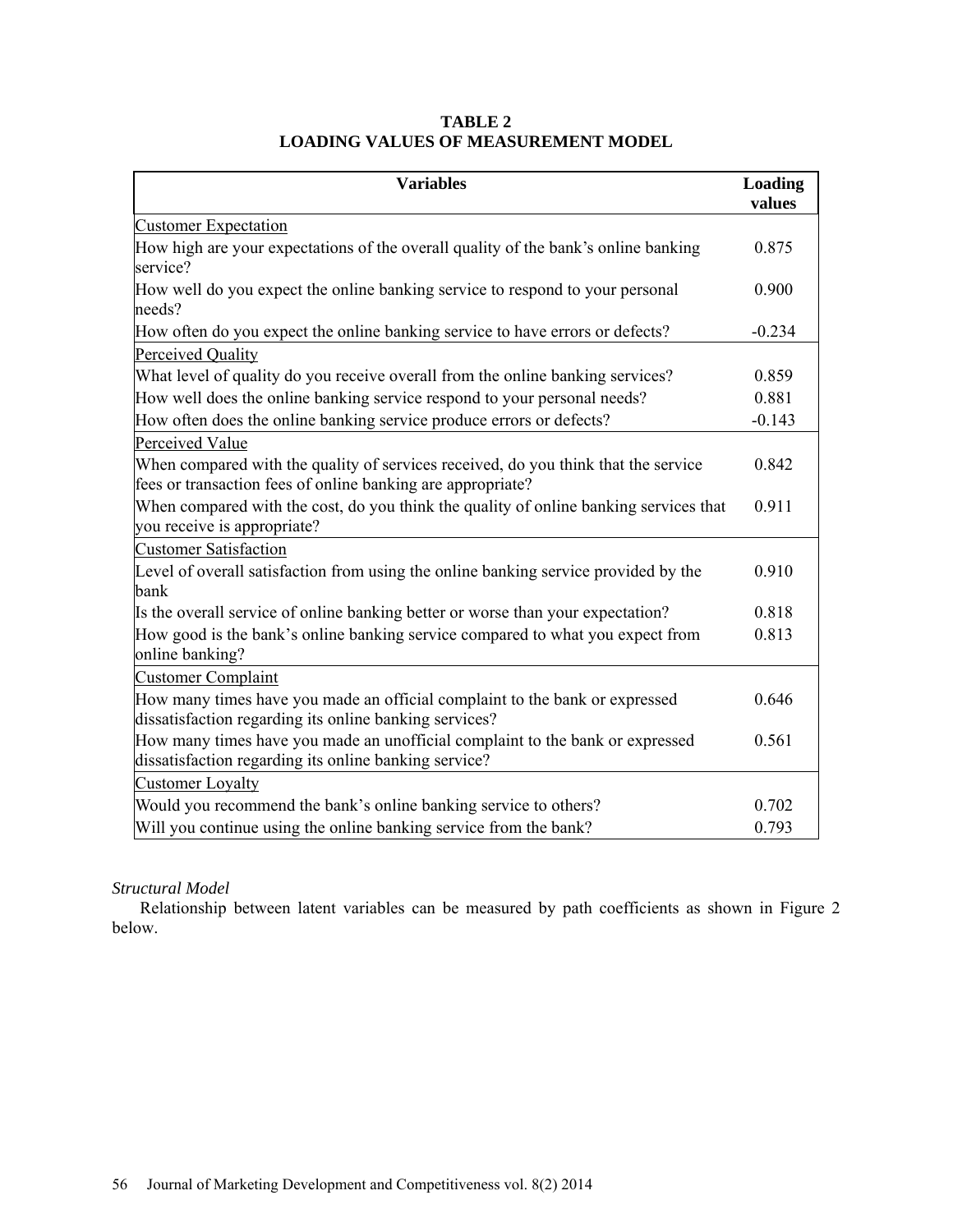| <b>Variables</b>                                                                                                                                  | Loading<br>values |
|---------------------------------------------------------------------------------------------------------------------------------------------------|-------------------|
| <b>Customer Expectation</b>                                                                                                                       |                   |
| How high are your expectations of the overall quality of the bank's online banking<br>service?                                                    | 0.875             |
| How well do you expect the online banking service to respond to your personal<br>needs?                                                           |                   |
| How often do you expect the online banking service to have errors or defects?                                                                     |                   |
| Perceived Quality                                                                                                                                 |                   |
| What level of quality do you receive overall from the online banking services?                                                                    | 0.859             |
| How well does the online banking service respond to your personal needs?                                                                          | 0.881             |
| How often does the online banking service produce errors or defects?                                                                              | $-0.143$          |
| Perceived Value                                                                                                                                   |                   |
| When compared with the quality of services received, do you think that the service<br>fees or transaction fees of online banking are appropriate? | 0.842             |
| When compared with the cost, do you think the quality of online banking services that<br>you receive is appropriate?                              |                   |
| <b>Customer Satisfaction</b>                                                                                                                      |                   |
| Level of overall satisfaction from using the online banking service provided by the<br>bank                                                       | 0.910             |
| Is the overall service of online banking better or worse than your expectation?                                                                   | 0.818             |
| How good is the bank's online banking service compared to what you expect from<br>online banking?                                                 | 0.813             |
| <b>Customer Complaint</b>                                                                                                                         |                   |
| How many times have you made an official complaint to the bank or expressed<br>dissatisfaction regarding its online banking services?             | 0.646             |
| How many times have you made an unofficial complaint to the bank or expressed<br>dissatisfaction regarding its online banking service?            |                   |
| <b>Customer Loyalty</b>                                                                                                                           |                   |
| Would you recommend the bank's online banking service to others?                                                                                  | 0.702             |
| Will you continue using the online banking service from the bank?                                                                                 | 0.793             |

# **TABLE 2 LOADING VALUES OF MEASUREMENT MODEL**

## *Structural Model*

Relationship between latent variables can be measured by path coefficients as shown in Figure 2 below.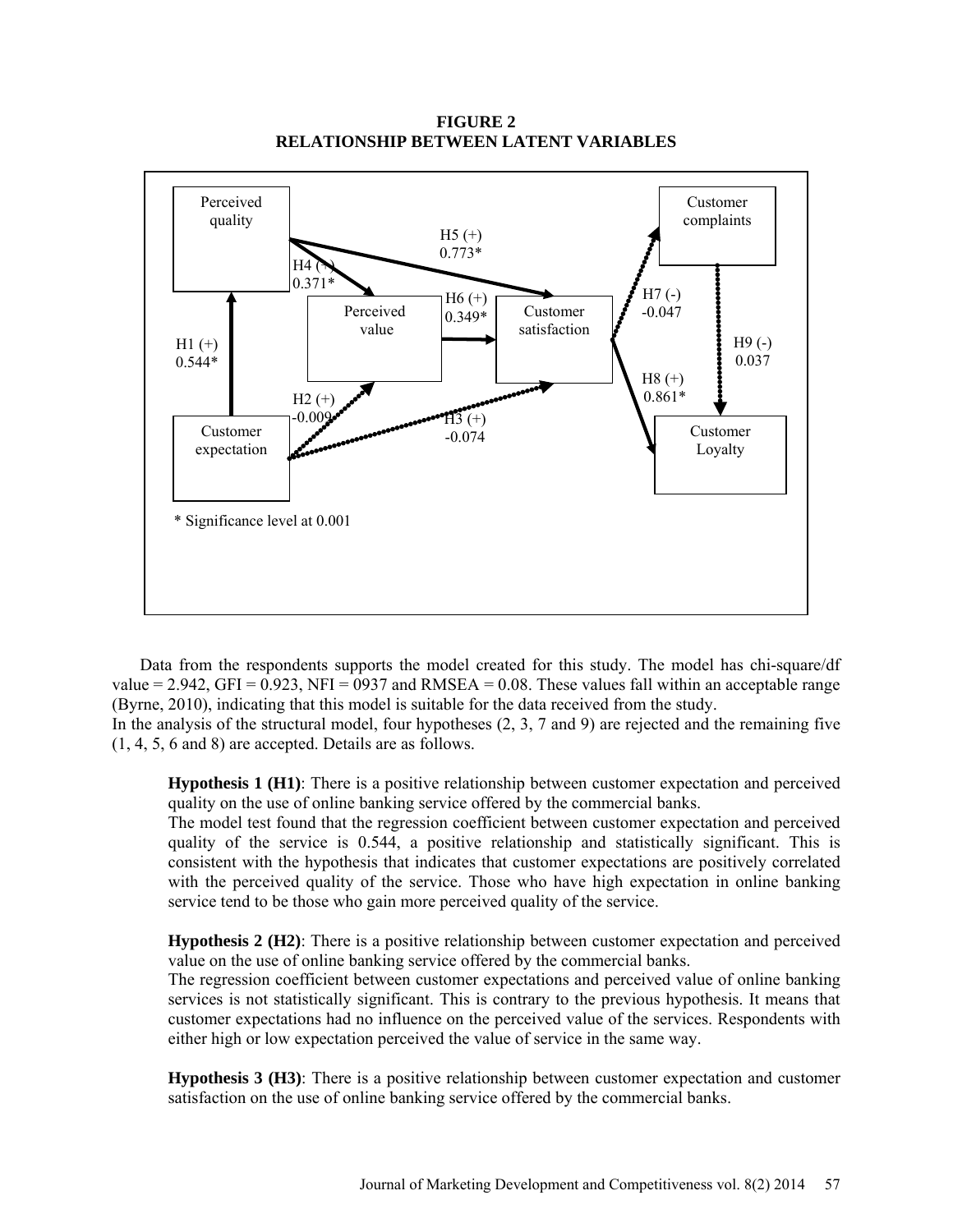**FIGURE 2 RELATIONSHIP BETWEEN LATENT VARIABLES**



Data from the respondents supports the model created for this study. The model has chi-square/df value = 2.942, GFI =  $0.923$ , NFI = 0937 and RMSEA = 0.08. These values fall within an acceptable range (Byrne, 2010), indicating that this model is suitable for the data received from the study.

In the analysis of the structural model, four hypotheses (2, 3, 7 and 9) are rejected and the remaining five (1, 4, 5, 6 and 8) are accepted. Details are as follows.

**Hypothesis 1 (H1)**: There is a positive relationship between customer expectation and perceived quality on the use of online banking service offered by the commercial banks.

The model test found that the regression coefficient between customer expectation and perceived quality of the service is 0.544, a positive relationship and statistically significant. This is consistent with the hypothesis that indicates that customer expectations are positively correlated with the perceived quality of the service. Those who have high expectation in online banking service tend to be those who gain more perceived quality of the service.

**Hypothesis 2 (H2)**: There is a positive relationship between customer expectation and perceived value on the use of online banking service offered by the commercial banks.

The regression coefficient between customer expectations and perceived value of online banking services is not statistically significant. This is contrary to the previous hypothesis. It means that customer expectations had no influence on the perceived value of the services. Respondents with either high or low expectation perceived the value of service in the same way.

**Hypothesis 3 (H3)**: There is a positive relationship between customer expectation and customer satisfaction on the use of online banking service offered by the commercial banks.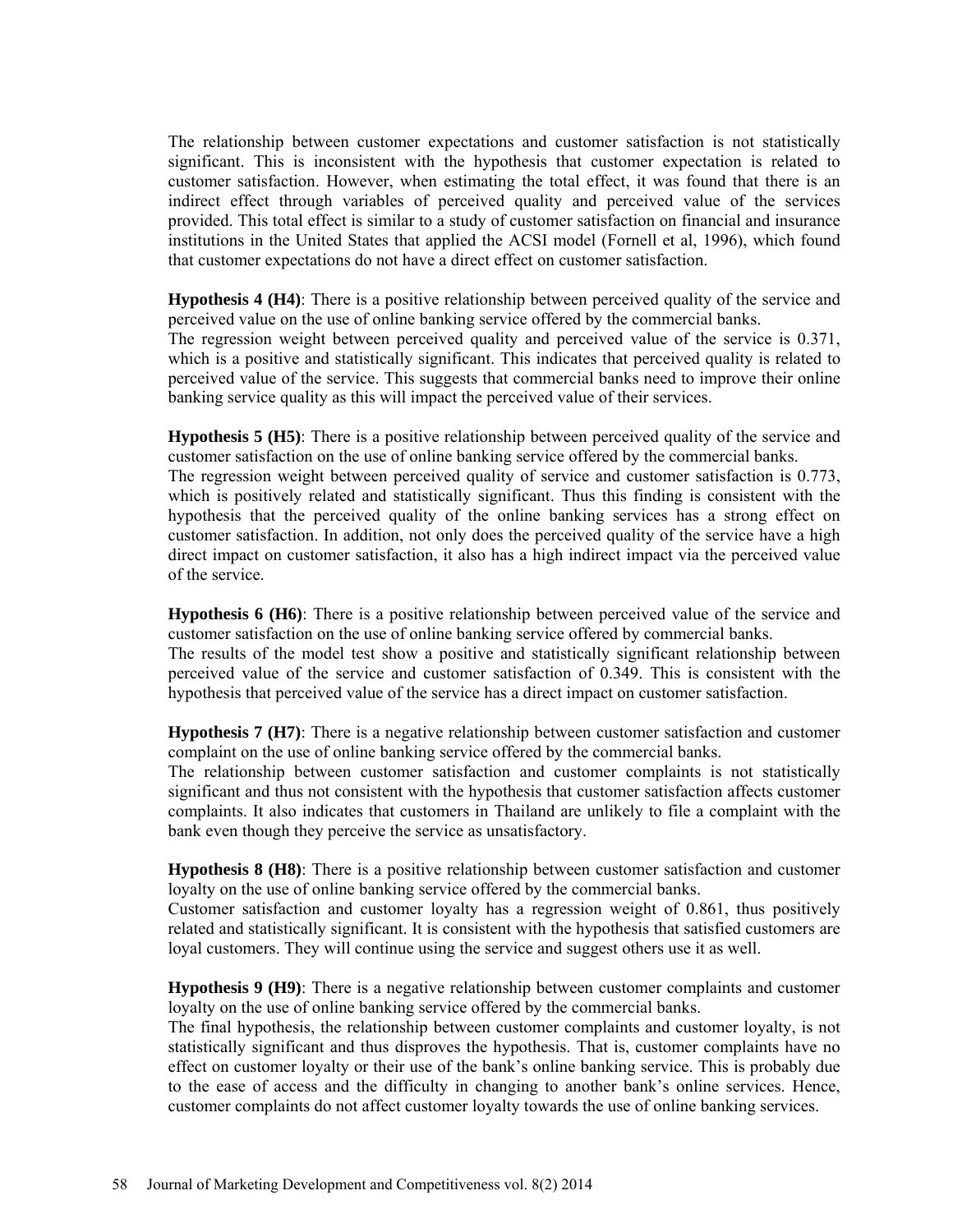The relationship between customer expectations and customer satisfaction is not statistically significant. This is inconsistent with the hypothesis that customer expectation is related to customer satisfaction. However, when estimating the total effect, it was found that there is an indirect effect through variables of perceived quality and perceived value of the services provided. This total effect is similar to a study of customer satisfaction on financial and insurance institutions in the United States that applied the ACSI model (Fornell et al, 1996), which found that customer expectations do not have a direct effect on customer satisfaction.

**Hypothesis 4 (H4)**: There is a positive relationship between perceived quality of the service and perceived value on the use of online banking service offered by the commercial banks. The regression weight between perceived quality and perceived value of the service is 0.371, which is a positive and statistically significant. This indicates that perceived quality is related to perceived value of the service. This suggests that commercial banks need to improve their online banking service quality as this will impact the perceived value of their services.

**Hypothesis 5 (H5)**: There is a positive relationship between perceived quality of the service and customer satisfaction on the use of online banking service offered by the commercial banks.

The regression weight between perceived quality of service and customer satisfaction is 0.773, which is positively related and statistically significant. Thus this finding is consistent with the hypothesis that the perceived quality of the online banking services has a strong effect on customer satisfaction. In addition, not only does the perceived quality of the service have a high direct impact on customer satisfaction, it also has a high indirect impact via the perceived value of the service.

**Hypothesis 6 (H6)**: There is a positive relationship between perceived value of the service and customer satisfaction on the use of online banking service offered by commercial banks.

The results of the model test show a positive and statistically significant relationship between perceived value of the service and customer satisfaction of 0.349. This is consistent with the hypothesis that perceived value of the service has a direct impact on customer satisfaction.

**Hypothesis 7 (H7)**: There is a negative relationship between customer satisfaction and customer complaint on the use of online banking service offered by the commercial banks.

The relationship between customer satisfaction and customer complaints is not statistically significant and thus not consistent with the hypothesis that customer satisfaction affects customer complaints. It also indicates that customers in Thailand are unlikely to file a complaint with the bank even though they perceive the service as unsatisfactory.

**Hypothesis 8 (H8)**: There is a positive relationship between customer satisfaction and customer loyalty on the use of online banking service offered by the commercial banks.

Customer satisfaction and customer loyalty has a regression weight of 0.861, thus positively related and statistically significant. It is consistent with the hypothesis that satisfied customers are loyal customers. They will continue using the service and suggest others use it as well.

**Hypothesis 9 (H9)**: There is a negative relationship between customer complaints and customer loyalty on the use of online banking service offered by the commercial banks.

The final hypothesis, the relationship between customer complaints and customer loyalty, is not statistically significant and thus disproves the hypothesis. That is, customer complaints have no effect on customer loyalty or their use of the bank's online banking service. This is probably due to the ease of access and the difficulty in changing to another bank's online services. Hence, customer complaints do not affect customer loyalty towards the use of online banking services.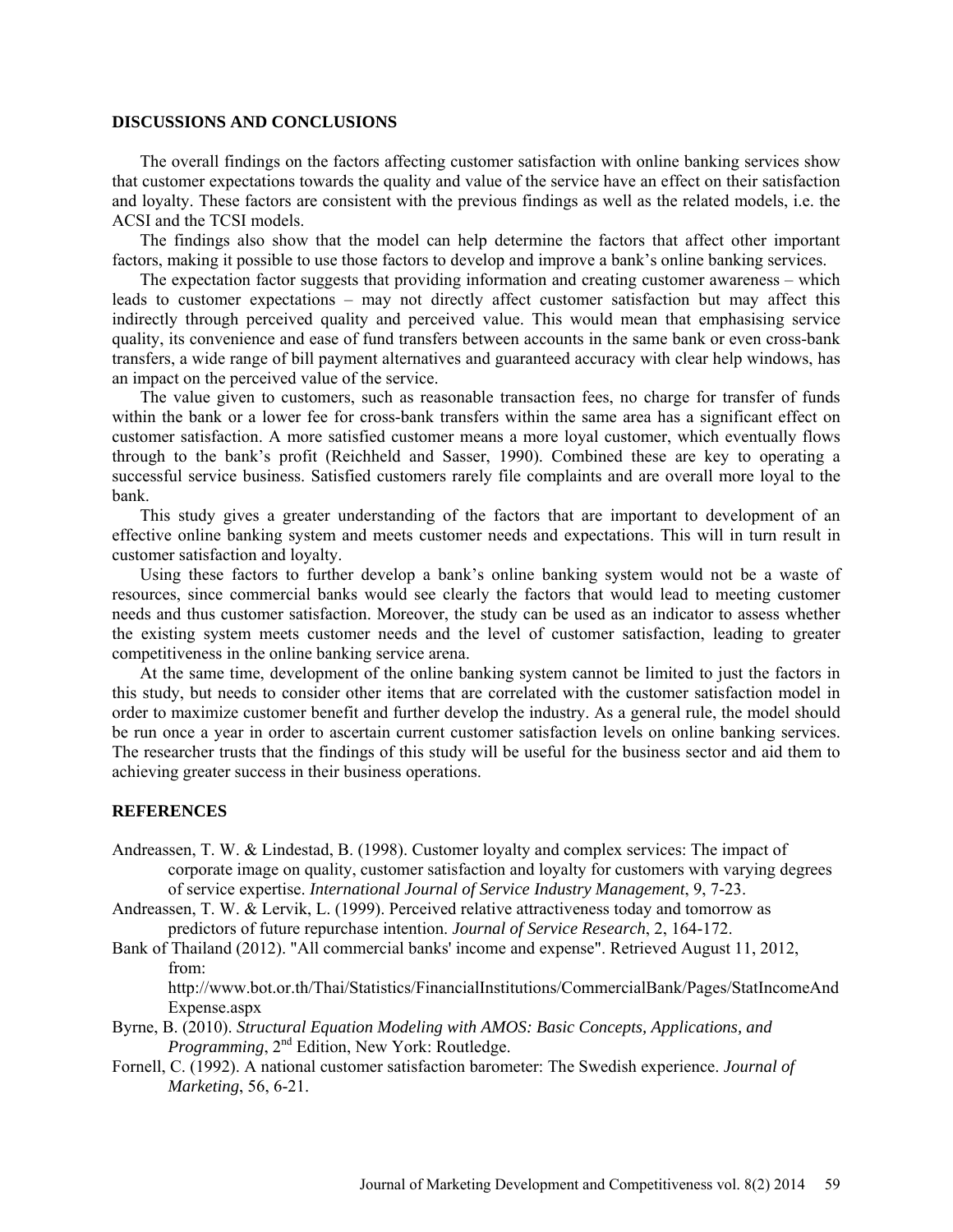#### **DISCUSSIONS AND CONCLUSIONS**

The overall findings on the factors affecting customer satisfaction with online banking services show that customer expectations towards the quality and value of the service have an effect on their satisfaction and loyalty. These factors are consistent with the previous findings as well as the related models, i.e. the ACSI and the TCSI models.

The findings also show that the model can help determine the factors that affect other important factors, making it possible to use those factors to develop and improve a bank's online banking services.

The expectation factor suggests that providing information and creating customer awareness – which leads to customer expectations – may not directly affect customer satisfaction but may affect this indirectly through perceived quality and perceived value. This would mean that emphasising service quality, its convenience and ease of fund transfers between accounts in the same bank or even cross-bank transfers, a wide range of bill payment alternatives and guaranteed accuracy with clear help windows, has an impact on the perceived value of the service.

The value given to customers, such as reasonable transaction fees, no charge for transfer of funds within the bank or a lower fee for cross-bank transfers within the same area has a significant effect on customer satisfaction. A more satisfied customer means a more loyal customer, which eventually flows through to the bank's profit (Reichheld and Sasser, 1990). Combined these are key to operating a successful service business. Satisfied customers rarely file complaints and are overall more loyal to the bank.

This study gives a greater understanding of the factors that are important to development of an effective online banking system and meets customer needs and expectations. This will in turn result in customer satisfaction and loyalty.

Using these factors to further develop a bank's online banking system would not be a waste of resources, since commercial banks would see clearly the factors that would lead to meeting customer needs and thus customer satisfaction. Moreover, the study can be used as an indicator to assess whether the existing system meets customer needs and the level of customer satisfaction, leading to greater competitiveness in the online banking service arena.

At the same time, development of the online banking system cannot be limited to just the factors in this study, but needs to consider other items that are correlated with the customer satisfaction model in order to maximize customer benefit and further develop the industry. As a general rule, the model should be run once a year in order to ascertain current customer satisfaction levels on online banking services. The researcher trusts that the findings of this study will be useful for the business sector and aid them to achieving greater success in their business operations.

#### **REFERENCES**

- Andreassen, T. W. & Lindestad, B. (1998). Customer loyalty and complex services: The impact of corporate image on quality, customer satisfaction and loyalty for customers with varying degrees of service expertise. *International Journal of Service Industry Management*, 9, 7-23.
- Andreassen, T. W. & Lervik, L. (1999). Perceived relative attractiveness today and tomorrow as predictors of future repurchase intention. *Journal of Service Research*, 2, 164-172.
- Bank of Thailand (2012). "All commercial banks' income and expense". Retrieved August 11, 2012, from:

[http://www.bot.or.th/Thai/Statistics/FinancialInstitutions/CommercialBank/Pages/StatIncomeAnd](http://www.bot.or.th/Thai/Statistics/FinancialInstitutions/CommercialBank/Pages/StatIncomeAndExpense.aspx) [Expense.aspx](http://www.bot.or.th/Thai/Statistics/FinancialInstitutions/CommercialBank/Pages/StatIncomeAndExpense.aspx)

- Byrne, B. (2010). *Structural Equation Modeling with AMOS: Basic Concepts, Applications, and Programming*, 2nd Edition, New York: Routledge.
- Fornell, C. (1992). A national customer satisfaction barometer: The Swedish experience. *Journal of Marketing*, 56, 6-21.